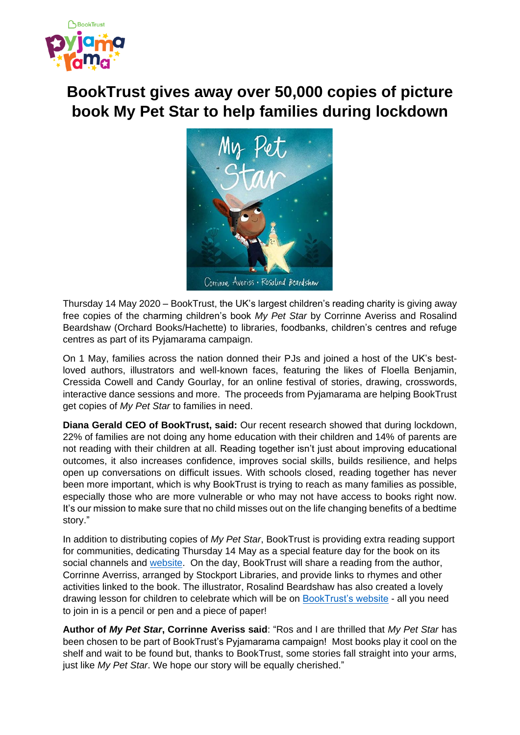

# **BookTrust gives away over 50,000 copies of picture book My Pet Star to help families during lockdown**



Thursday 14 May 2020 – BookTrust, the UK's largest children's reading charity is giving away free copies of the charming children's book *My Pet Star* by Corrinne Averiss and Rosalind Beardshaw (Orchard Books/Hachette) to libraries, foodbanks, children's centres and refuge centres as part of its Pyjamarama campaign.

On 1 May, families across the nation donned their PJs and joined a host of the UK's bestloved authors, illustrators and well-known faces, featuring the likes of Floella Benjamin, Cressida Cowell and Candy Gourlay, for an online festival of stories, drawing, crosswords, interactive dance sessions and more. The proceeds from Pyjamarama are helping BookTrust get copies of *My Pet Star* to families in need.

**Diana Gerald CEO of BookTrust, said:** Our recent research showed that during lockdown, 22% of families are not doing any home education with their children and 14% of parents are not reading with their children at all. Reading together isn't just about improving educational outcomes, it also increases confidence, improves social skills, builds resilience, and helps open up conversations on difficult issues. With schools closed, reading together has never been more important, which is why BookTrust is trying to reach as many families as possible, especially those who are more vulnerable or who may not have access to books right now. It's our mission to make sure that no child misses out on the life changing benefits of a bedtime story."

In addition to distributing copies of *My Pet Star*, BookTrust is providing extra reading support for communities, dedicating Thursday 14 May as a special feature day for the book on its social channels and [website.](https://www.booktrust.org.uk/books-and-reading/have-some-fun/my-pet-star/) On the day, BookTrust will share a reading from the author, Corrinne Averriss, arranged by Stockport Libraries, and provide links to rhymes and other activities linked to the book. The illustrator, Rosalind Beardshaw has also created a lovely drawing lesson for children to celebrate which will be on [BookTrust's website](http://www.booktrust.org.uk/hometime) - all you need to join in is a pencil or pen and a piece of paper!

**Author of** *My Pet Star***, Corrinne Averiss said**: "Ros and I are thrilled that *My Pet Star* has been chosen to be part of BookTrust's Pyjamarama campaign! Most books play it cool on the shelf and wait to be found but, thanks to BookTrust, some stories fall straight into your arms, just like *My Pet Star*. We hope our story will be equally cherished."